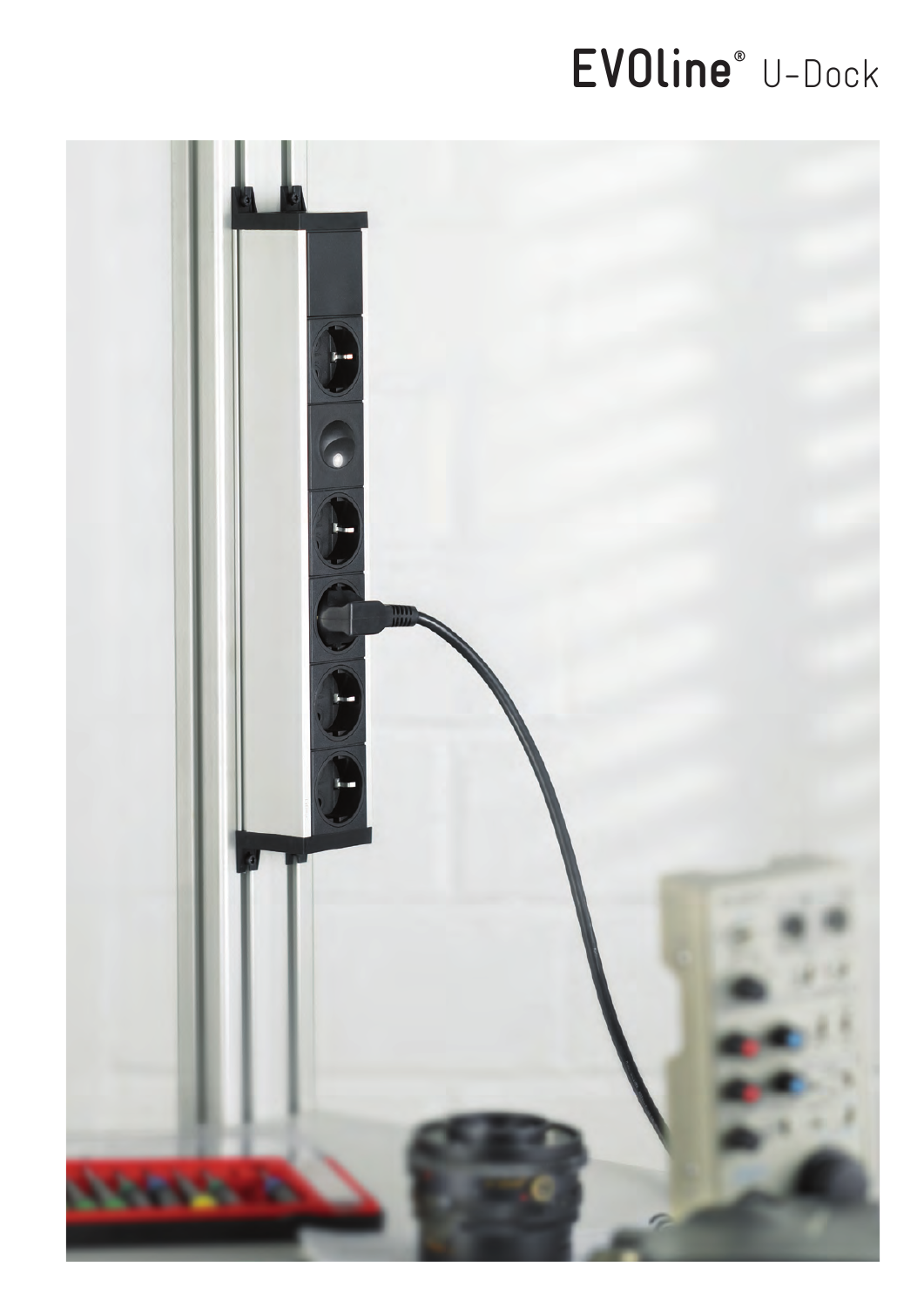# EVOline<sup>®</sup> U-Dock

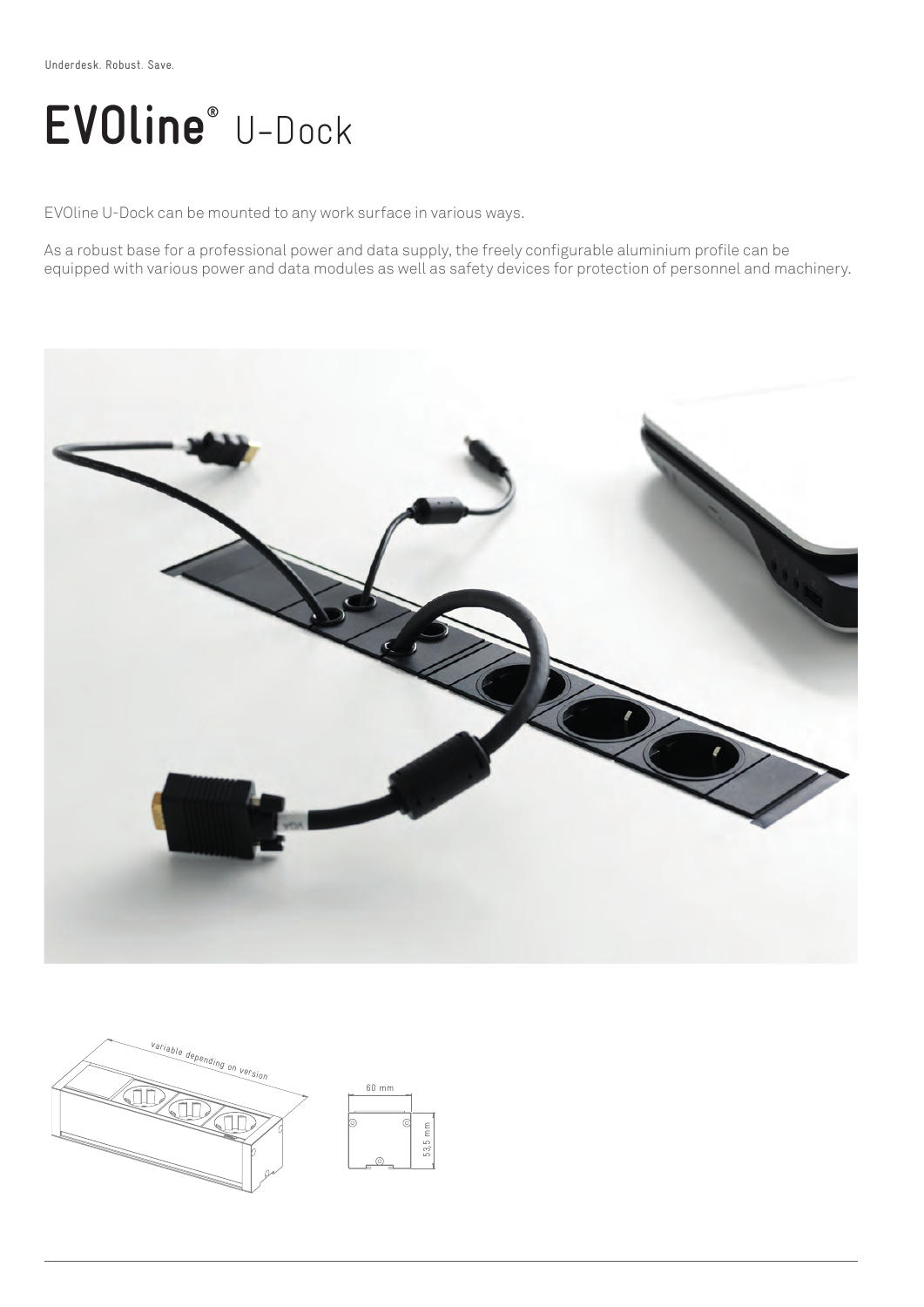## **EVOline®** U-Dock

EVOline U-Dock can be mounted to any work surface in various ways.

As a robust base for a professional power and data supply, the freely configurable aluminium profile can be equipped with various power and data modules as well as safety devices for protection of personnel and machinery.



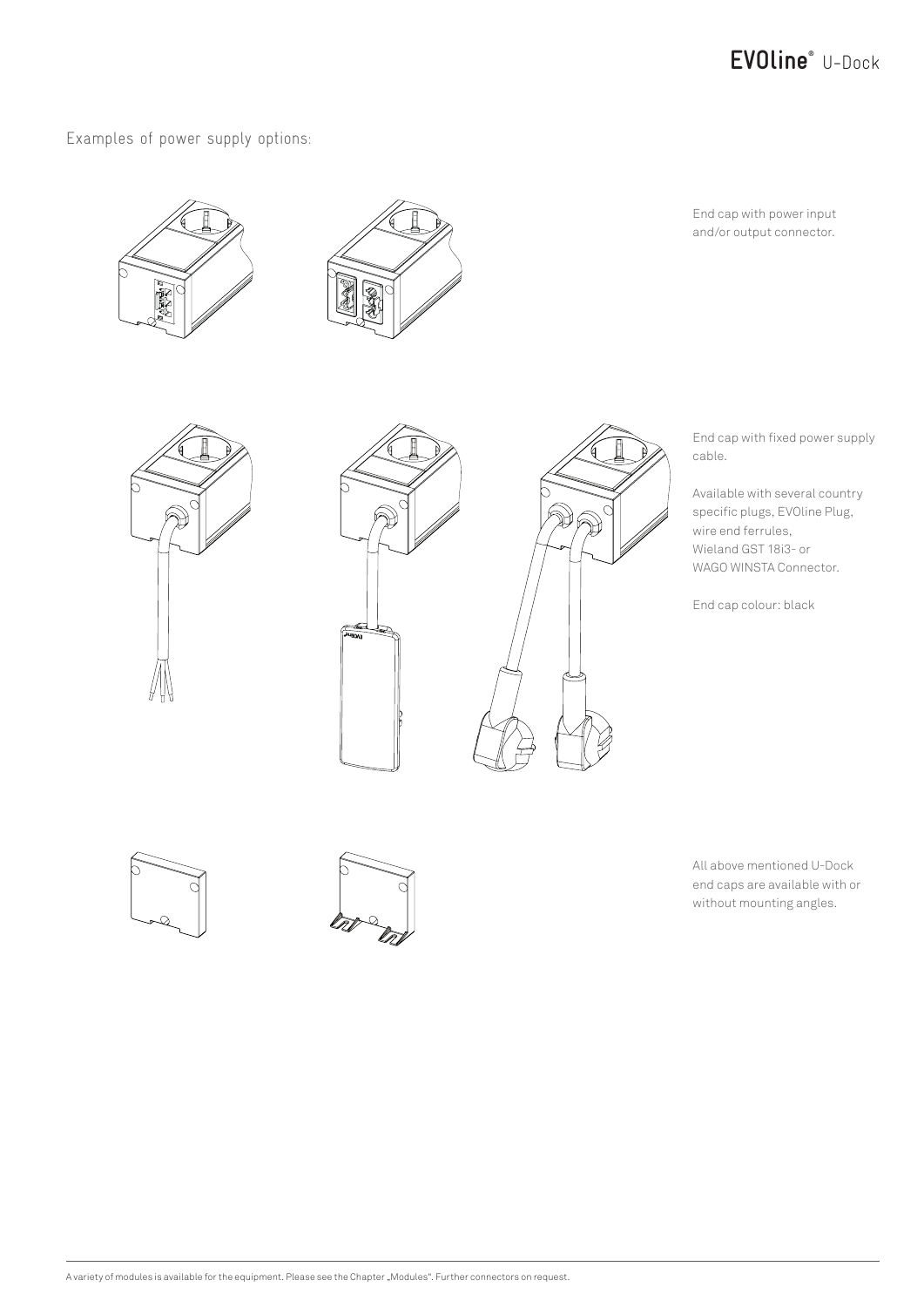

Examples of power supply options:





End cap with power input and/or output connector.



End cap with fixed power supply cable.

Available with several country specific plugs, EVOline Plug, wire end ferrules, Wieland GST 18i3- or WAGO WINSTA Connector.

End cap colour: black





All above mentioned U-Dock end caps are available with or without mounting angles.